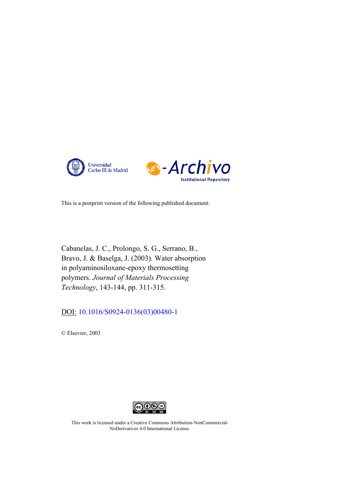



This is a postprint version of the following published document:

Cabanelas, J. C., Prolongo, S. G., Serrano, B., Bravo, J. & Baselga, J. (2003). Water absorption in polyaminosiloxane-epoxy thermosetting polymers. *Journal of Materials Processing Technology*, 143-144, pp. 311-315.

DOI: [10.1016/S0924-0136\(03\)00480-1](https://doi.org/10.1016/S0924-0136(03)00480-1)

© Elsevier, 2003



This work is licensed under a Creative Commons Attribution-NonCommercial-NoDerivatives 4.0 International License.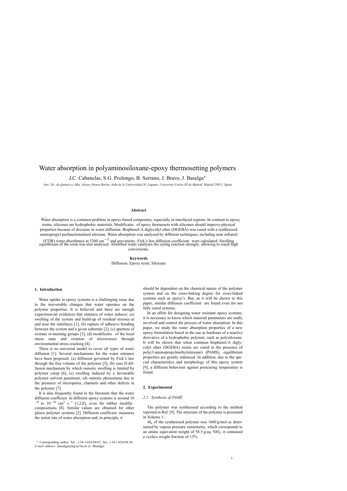# Water absorption in polyaminosiloxane-epoxy thermosetting polymers

J.C. Cabanelas, S.G. Prolongo, B. Serrano, J. Bravo, J. Baselga∗

*Inst. Tec. de Quimica y Mat. Alvaro Alonso Barba, Avda de la Universidad 30, Leganes, University Carlos III de Madrid, Madrid 28911, Spain*

#### **Abstract**

Water absorption is a common problem in epoxy-based composites, especially in interfacial regions. In contrast to epoxy resins, silicones are hydrophobic materials. Modificatio of epoxy thermosets with silicones should improve physical properties because of decrease in water diffusion. Bisphenol-A diglycidyl ether (DGEBA) was cured with a synthesised aminopropyl perfunctionalised siloxane. Water absorption was analysed by different techniques, including near infrared

(FTIR) water absorbance at 5200 cm<sup>-1</sup> and gravimetry. Fick's law diffusion coefficient were calculated. Swelling equilibrium of the resin was also analysed. Absorbed water catalyses the curing reaction strongly, allowing to reach high conversions.

# **Keywords** Diffusion; Epoxy resin; Siloxane

#### **1. Introduction**

Water uptake in epoxy systems is a challenging issue due to the irreversible changes that water operates on the polymer properties. It is believed and there are enough experimen-tal evidences that entrance of water induces: (a) swelling of the system and build-up of residual stresses at and near the interfaces [1], (b) rupture of adhesive bonding between the system and a given substrate [2], (c) aperture of oxirane re-maining groups [3], (d) modificatio of the local stress state and creation of microcrazes through environmental stress cracking [4].

There is no universal model to cover all types of water diffusion [1]. Several mechanisms for the water entrance have been proposed: (a) diffusion governed by Fick's law through the free volume of the polymer [5], (b) case II diffusion mechanism by which osmotic swelling is limited by polymer creep [6], (c) swelling induced by a favourable polymer–solvent parameter, (d) osmotic phenomena due to the presence of micropores, channels and other defects in the polymer [7].

It is also frequently found in the literature that the water diffusion coefficien in different epoxy systems is around 10  $-8$  to  $10^{-10}$  cm<sup>2</sup> s<sup>-1</sup> [1,2,8], even for rubber modifie compositions [8]. Similar values are obtained for other glassy polymer systems [2]. Diffusion coefficien measures the initial rate of water absorption and, in principle, it

should be dependent on the chemical nature of the polymer system and on the cross-linking degree for cross-linked systems such as epoxy's. But, as it will be shown in this paper, similar diffusion coefficient are found even for not fully cured systems.

In an effort for designing water resistant epoxy systems, it is necessary to know which material parameters are really involved and control the process of water absorption. In this paper, we study the water absorption properties of a new epoxy formulation based in the use as hardener of a reactive derivative of a hydrophobic polymer, such as polysiloxane. It will be shown that when common bisphenol-A diglycidyl ether (DGEBA) resins are cured in the presence of poly(3-aminopropylmethylsiloxane) (PAMS), equilibrium properties are greatly enhanced. In addition, due to the special characteristics and morphology of this epoxy system [9], a different behaviour against postcuring temperature is found.

#### **2. Experimental**

#### *2.1. Synthesis of PAMS*

The polymer was synthesised according to the method reported in Ref. [9]. The structure of the polymer is presented in Scheme 1.

*M*n of the sy[nthes](#page-5-0)ised polymer was 1600 g/mol as determi[ned by vapo](#page-2-0)ur pressure osmometry, which corresponds to an amine equivalent weight of 58.5 g/eq. NH2; it contained a cyclics weight fraction of 15%.

<sup>∗</sup> Corresponding author. Tel.: +34-1-624-94-67; fax: +34-1-624-94-30. *E-mail address:* jbaselga@ing.uc3m.es (J. Baselga).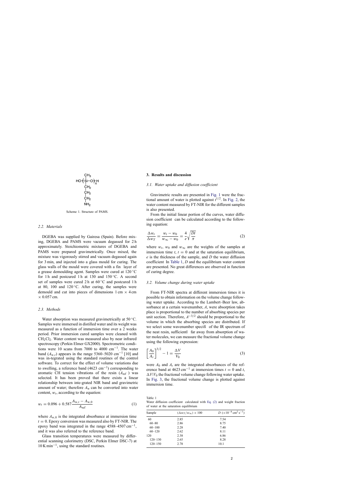<span id="page-2-0"></span>

Scheme 1. Structure of PAMS.

#### *2.2. Materials*

DGEBA was supplied by Gairesa (Spain). Before mixing, DGEBA and PAMS were vacuum degassed for 2 h approximately. Stoichiometric mixtures of DGEBA and PAMS were prepared gravimetrically. Once mixed, the mixture was vigorously stirred and vacuum degassed again for 3 min, and injected into a glass mould for curing. The glass walls of the mould were covered with a fin layer of a grease demoulding agent. Samples were cured at 120 ◦C for 1 h and postcured 1 h at 130 and  $150^{\circ}$ C. A second set of samples were cured 2 h at  $60^{\circ}$ C and postcured 1 h at 80, 100 and 120 $\degree$ C. After curing, the samples were demould and cut into pieces of dimensions  $1 \text{ cm} \times 4 \text{ cm}$  $\times$  0.057 cm.

#### *2.3. Methods*

Water absorption was measured gravimetrically at 50 ◦C. Samples were immersed in distilled water and its weight was measured as a function of immersion time over a 2 weeks period. Prior immersion cured samples were cleaned with  $CH<sub>2</sub>Cl<sub>2</sub>$ . Water content was measured also by near infrared spectroscopy (Perkin Elmer GX2000). Spectrometric conditions were 10 scans from 7000 to 4000 cm−<sup>1</sup> . The water band  $(A_{w,t})$  appears in the range 5360–502[0 cm](#page-5-0)<sup>-1</sup> [10] and was in-tegrated using the standard routines of the control software. To correct for the effect of volume variations due to swelling, a reference band  $(4623 \text{ cm}^{-1})$  corresponding to aromatic CH tension vibrations of the resin  $(A_{ref})$  was selected. It has been proved that there exists a linear relationship between inte-grated NIR band and gravimetric amount of water; therefore  $A_w$  can be converted into water content,  $w_t$ , according to the equation:

$$
w_t = 0.096 + 0.587 \frac{A_{w,t} - A_{w,0}}{A_{\text{ref}}}
$$
 (1)

where  $A_{w,0}$  is the integrated absorbance at immersion time  $t = 0$ . Epoxy conversion was measured also by FT-NIR. The epoxy band was integrated in the range 4588–4507 cm<sup>-1</sup>, and it was also referred to the reference band.

Glass transition temperatures were measured by differential scanning calorimetry (DSC, Perkin Elmer DSC-7) at 10 K min−1, using the standard routines.

#### **3. Results and discussion**

# *3.1. Water uptake and diffusion coefficient*

Gravimetric results are presented in [Fig. 1](#page-3-0) were the fractional amount of water is plotted against  $t^{1/2}$ . In [Fig. 2,](#page-3-0) the water content measured by FT-NIR for the different samples is also presented.

From the initial linear portion of the curves, water diffusion coefficient can be calculated according to the following equation:

$$
\frac{\Delta w_t}{\Delta w_T} = \frac{w_t - w_0}{w_\infty - w_0} = \frac{4}{e} \sqrt{\frac{Dt}{\pi}}
$$
\n(2)

where  $w_t$ ,  $w_0$  and  $w_\infty$  are the weights of the samples at immersion time  $t$ ,  $t = 0$  and at the saturation equilibrium, *e* is the thickness of the sample, and *D* the water diffusion coefficient In Table 1, *D* and the equilibrium water content are presented. No great differences are observed in function of curing degree.

# *3.2. Volume change during water uptake*

From FT-NIR spectra at different immersion times it is possible to obtain information on the volume change following water uptake. According to the Lambert–Beer law, absorbance at a certain wavenumber, *A*, were absorption takes place is proportional to the number of absorbing species per unit section. Therefore,  $A^{-3/2}$  should be proportional to the volume in which the absorbing species are distributed. If we select some wavenumber specifi of the IR spectrum of the neat resin, sufficientl far away from absorption of water molecules, we can measure the fractional volume change using the following expression:

$$
\left[\frac{A_0}{A_t}\right]^{3/2} - 1 = \frac{\Delta V}{V_0} \tag{3}
$$

were  $A_0$  and  $A_t$  are the integrated absorbances of the reference band at 4623 cm<sup>-1</sup> at immersion times  $t = 0$  and  $t$ ,  $\Delta V/V_0$  the fractional volume change following water uptake. In [Fig. 3,](#page-4-0) the fractional volume change is plotted against immersion time.

Table 1

Water diffusion coefficient calculated with Eq. (2) and weight fraction of water at the saturation equilibrium

| Sample      | $(\Delta w_T/w_\infty) \times 100$ | $D (\times 10^{-8} \text{ cm}^2 \text{ s}^{-1})$ |
|-------------|------------------------------------|--------------------------------------------------|
| 60          | 2.85                               | 7.54                                             |
| $60 - 80$   | 2.86                               | 8.75                                             |
| $60 - 100$  | 2.28                               | 7.40                                             |
| $60 - 120$  | 2.62                               | 8.11                                             |
| 120         | 2.38                               | 6.86                                             |
| $120 - 130$ | 2.65                               | 8.28                                             |
| $120 - 150$ | 2.78                               | 10.1                                             |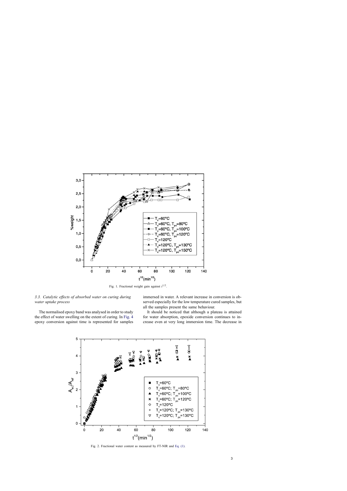<span id="page-3-0"></span>

Fig. 1. Fractional weight gain against *t* <sup>1</sup>/2.

# *3.3. Catalytic effects of absorbed water on curing during water uptake process*

immersed in water. A relevant increase in conversion is observed especially for the low temperature cured samples, but all the samples present the same behaviour.

The normalised epoxy band was analysed in order to study the effect of water swelling on the extent of curing. In [Fig. 4](#page-4-0) epoxy conversion against time is represented for samples

It should be noticed that although a plateau is attained for water absorption, epoxide conversion continues to increase even at very long immersion time. The decrease in



Fig. 2. Fractional water content as measured by FT-NIR and [Eq. \(1\).](#page-2-0)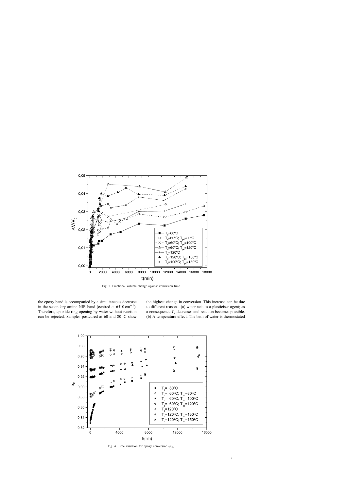<span id="page-4-0"></span>

Fig. 3. Fractional volume change against immersion time.

the epoxy band is accompanied by a simultaneous decrease in the secondary amine NIR band (centred at  $6510 \text{ cm}^{-1}$ ). Therefore, epoxide ring opening by water without reaction can be rejected. Samples postcured at 60 and 80 ◦C show the highest change in conversion. This increase can be due to different reasons: (a) water acts as a plasticiser agent; as a consequence *T*<sup>g</sup> decreases and reaction becomes possible. (b) A temperature effect. The bath of water is thermostated



Fig. 4. Time variation for epoxy conversion  $(\alpha_E)$ .